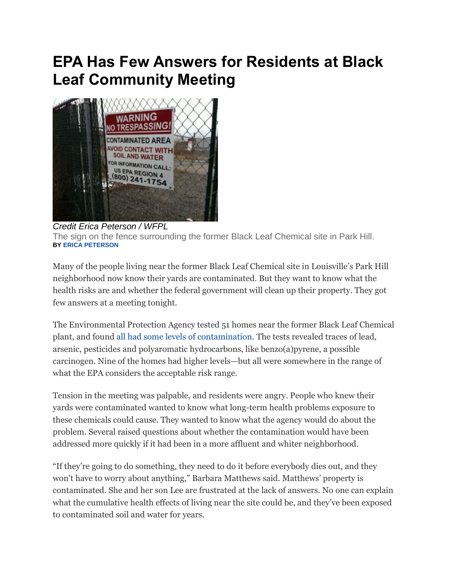## **EPA Has Few Answers for Residents at Black Leaf Community Meeting**



*Credit Erica Peterson / WFPL* The sign on the fence surrounding the former Black Leaf Chemical site in Park Hill. **BY [ERICA PETERSON](http://www.wfpl.org/people/erica-peterson)**

Many of the people living near the former Black Leaf Chemical site in Louisville's Park Hill neighborhood now know their yards are contaminated. But they want to know what the health risks are and whether the federal government will clean up their property. They got few answers at a meeting tonight.

The Environmental Protection Agency tested 51 homes near the former Black Leaf Chemical plant, and found [all had some levels of contamination.](http://wfpl.org/post/epa-finds-contamination-all-homes-tested-near-black-leaf-site) The tests revealed traces of lead, arsenic, pesticides and polyaromatic hydrocarbons, like benzo(a)pyrene, a possible carcinogen. Nine of the homes had higher levels—but all were somewhere in the range of what the EPA considers the acceptable risk range.

Tension in the meeting was palpable, and residents were angry. People who knew their yards were contaminated wanted to know what long-term health problems exposure to these chemicals could cause. They wanted to know what the agency would do about the problem. Several raised questions about whether the contamination would have been addressed more quickly if it had been in a more affluent and whiter neighborhood.

"If they're going to do something, they need to do it before everybody dies out, and they won't have to worry about anything," Barbara Matthews said. Matthews' property is contaminated. She and her son Lee are frustrated at the lack of answers. No one can explain what the cumulative health effects of living near the site could be, and they've been exposed to contaminated soil and water for years.